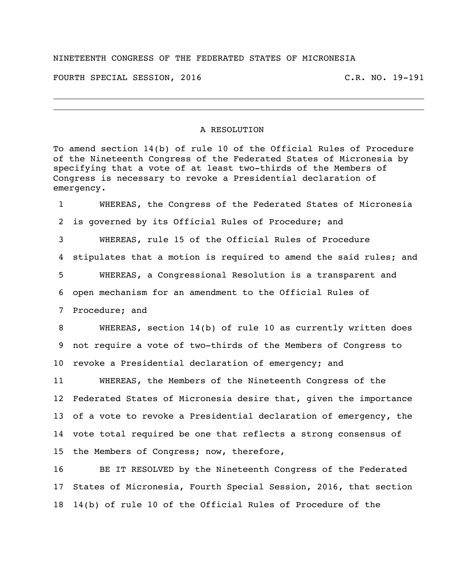## NINETEENTH CONGRESS OF THE FEDERATED STATES OF MICRONESIA

FOURTH SPECIAL SESSION, 2016 C.R. NO. 19-191

## A RESOLUTION

To amend section 14(b) of rule 10 of the Official Rules of Procedure of the Nineteenth Congress of the Federated States of Micronesia by specifying that a vote of at least two-thirds of the Members of Congress is necessary to revoke a Presidential declaration of emergency.

 WHEREAS, the Congress of the Federated States of Micronesia is governed by its Official Rules of Procedure; and WHEREAS, rule 15 of the Official Rules of Procedure stipulates that a motion is required to amend the said rules; and WHEREAS, a Congressional Resolution is a transparent and open mechanism for an amendment to the Official Rules of Procedure; and

 WHEREAS, section 14(b) of rule 10 as currently written does not require a vote of two-thirds of the Members of Congress to revoke a Presidential declaration of emergency; and

 WHEREAS, the Members of the Nineteenth Congress of the Federated States of Micronesia desire that, given the importance of a vote to revoke a Presidential declaration of emergency, the vote total required be one that reflects a strong consensus of the Members of Congress; now, therefore,

 BE IT RESOLVED by the Nineteenth Congress of the Federated States of Micronesia, Fourth Special Session, 2016, that section 14(b) of rule 10 of the Official Rules of Procedure of the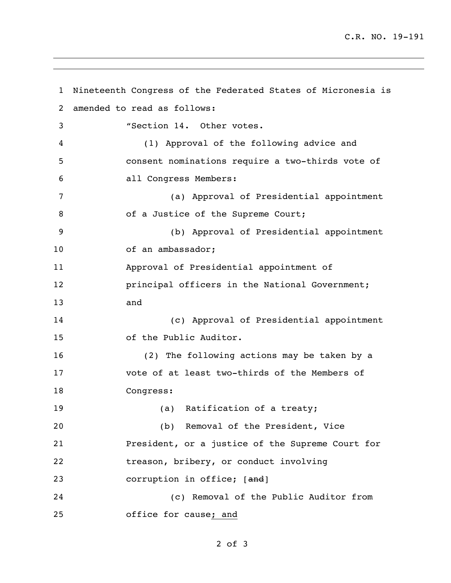C.R. NO. 19-191

```
1 Nineteenth Congress of the Federated States of Micronesia is 
2 amended to read as follows:
3 "Section 14. Other votes.
4 (1) Approval of the following advice and 
5 consent nominations require a two-thirds vote of 
6 all Congress Members:
7 (a) Approval of Presidential appointment 
8 of a Justice of the Supreme Court;
9 (b) Approval of Presidential appointment 
10 of an ambassador;
11 Approval of Presidential appointment of 
12 principal officers in the National Government;
13 and
14 (c) Approval of Presidential appointment 
15 of the Public Auditor.
16 (2) The following actions may be taken by a 
17 vote of at least two-thirds of the Members of 
18 Congress:
19 (a) Ratification of a treaty;
20 (b) Removal of the President, Vice 
21 President, or a justice of the Supreme Court for 
22 treason, bribery, or conduct involving 
23 corruption in office; [and]
24 (c) Removal of the Public Auditor from 
25 office for cause; and
```